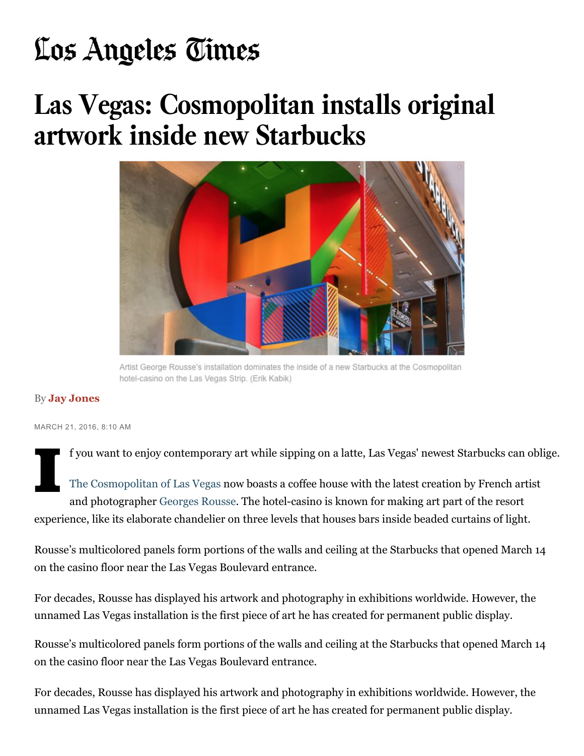## **artwork inside new Starbucks**

## **Las Vegas: Cosmopolitan installs original artwork inside new Starbucks** Las *Vegas: Cosmopolitan installs origin* **artwork inside new Starbucks**



Artist George Rousse's installation dominates the inside of a new Starbucks at the Cosmopolitan hotel-casino on the Las Vegas Strip. (Erik Kabik)

## By **Jay Jones** By **Jay Jones**

(Erik Kabik)

MARCH 21, 2016, 8:10 AM MARCH 21, 2016, 8:10 AM

f you want to enjoy contemporary art while sipping on a latte, Las Vegas' newest Starbucks can oblige.

By **Jay Jones** The Cosmopolitan of Las Vegas now boasts a coffee house with the latest creation by French artist and photographer Georges Rousse. The hotel-casino is known for making art part of the resort I experience, like its elaborate chandelier on three levels that houses bars inside beaded curtains of light. I

on the casino floor near the Las Vegas Boulevard entrance. Rousse's multicolored panels form portions of the walls and ceiling at the Starbucks that opened March 14<br>on the casino floor near the Las Vegas Boulevard entrance. The Cosmopolitan of Las Vegas now boasts a coffee house with the latest creation by French artistic creation by French artistic creation by French artistic creation by French artistic creation by French artistic creation

For de<br>unnar unnamed Las Vegas installation is the first piece of art he has created for permanent public display. For decades, Rousse has displayed his artwork and photography in exhibitions worldwide. However, the

Rousse's multicolored panels form portions of the walls and ceiling at the Starbucks that opened March 14 on the casino floor near the Las Vegas Boulevard entrance.

Rousse's multicolored panels form portions of the walls and ceiling at the Starbucks that opened March 14  $\mathbf{r}$  and  $\mathbf{r}$  and  $\mathbf{r}$  is  $\mathbf{r}$  and  $\mathbf{r}$  and  $\mathbf{r}$  and  $\mathbf{r}$  and  $\mathbf{r}$  and  $\mathbf{r}$  and  $\mathbf{r}$  and  $\mathbf{r}$  and  $\mathbf{r}$  and  $\mathbf{r}$  and  $\mathbf{r}$  and  $\mathbf{r}$  and  $\mathbf{r}$  and  $\mathbf{r}$  and For decades, Rousse has displayed his artwork and photography in exhibitions worldwide. However, the unnamed Las Vegas installation is the first piece of art he has created for permanent public display.